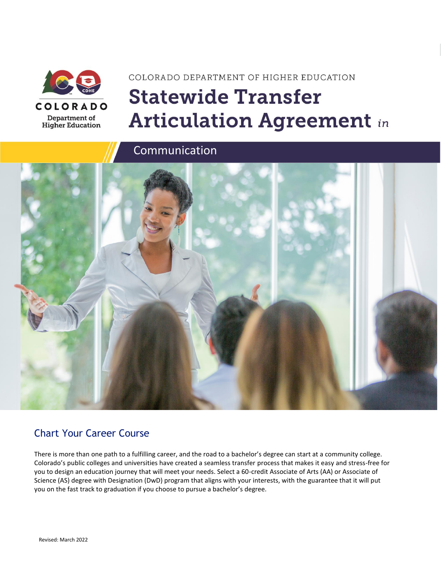

**Higher Education** 

# COLORADO DEPARTMENT OF HIGHER EDUCATION **Statewide Transfer Articulation Agreement in**

Communication



## Chart Your Career Course

There is more than one path to a fulfilling career, and the road to a bachelor's degree can start at a community college. Colorado's public colleges and universities have created a seamless transfer process that makes it easy and stress-free for you to design an education journey that will meet your needs. Select a 60-credit Associate of Arts (AA) or Associate of Science (AS) degree with Designation (DwD) program that aligns with your interests, with the guarantee that it will put you on the fast track to graduation if you choose to pursue a bachelor's degree.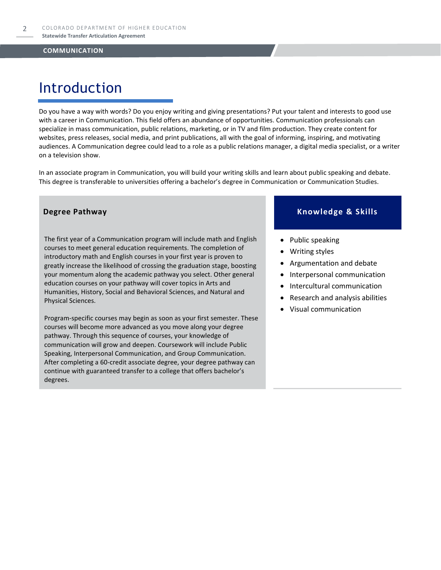# Introduction

Do you have a way with words? Do you enjoy writing and giving presentations? Put your talent and interests to good use with a career in Communication. This field offers an abundance of opportunities. Communication professionals can specialize in mass communication, public relations, marketing, or in TV and film production. They create content for websites, press releases, social media, and print publications, all with the goal of informing, inspiring, and motivating audiences. A Communication degree could lead to a role as a public relations manager, a digital media specialist, or a writer on a television show.

In an associate program in Communication, you will build your writing skills and learn about public speaking and debate. This degree is transferable to universities offering a bachelor's degree in Communication or Communication Studies.

The first year of a Communication program will include math and English courses to meet general education requirements. The completion of introductory math and English courses in your first year is proven to greatly increase the likelihood of crossing the graduation stage, boosting your momentum along the academic pathway you select. Other general education courses on your pathway will cover topics in Arts and Humanities, History, Social and Behavioral Sciences, and Natural and Physical Sciences.

Program-specific courses may begin as soon as your first semester. These courses will become more advanced as you move along your degree pathway. Through this sequence of courses, your knowledge of communication will grow and deepen. Coursework will include Public Speaking, Interpersonal Communication, and Group Communication. After completing a 60-credit associate degree, your degree pathway can continue with guaranteed transfer to a college that offers bachelor's degrees.

### **Degree Pathway Knowledge & Skills**

- Public speaking
- Writing styles
- Argumentation and debate
- Interpersonal communication
- Intercultural communication
- Research and analysis abilities
- Visual communication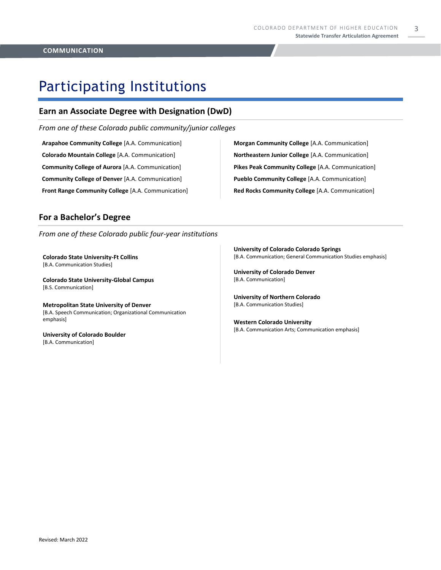# Participating Institutions

### **Earn an Associate Degree with Designation (DwD)**

*From one of these Colorado public community/junior colleges*

**Arapahoe Community College** [A.A. Communication] **Colorado Mountain College** [A.A. Communication] **Community College of Aurora** [A.A. Communication] **Community College of Denver** [A.A. Communication] **Front Range Community College** [A.A. Communication]

**Morgan Community College** [A.A. Communication] **Northeastern Junior College** [A.A. Communication] **Pikes Peak Community College** [A.A. Communication] **Pueblo Community College** [A.A. Communication] **Red Rocks Community College** [A.A. Communication]

### **For a Bachelor's Degree**

*From one of these Colorado public four-year institutions*

**Colorado State University-Ft Collins**  [B.A. Communication Studies]

**Colorado State University-Global Campus** [B.S. Communication]

**Metropolitan State University of Denver**  [B.A. Speech Communication; Organizational Communication emphasis]

**University of Colorado Boulder**  [B.A. Communication]

**University of Colorado Colorado Springs** [B.A. Communication; General Communication Studies emphasis]

**University of Colorado Denver** [B.A. Communication]

**University of Northern Colorado** [B.A. Communication Studies]

**Western Colorado University** [B.A. Communication Arts; Communication emphasis]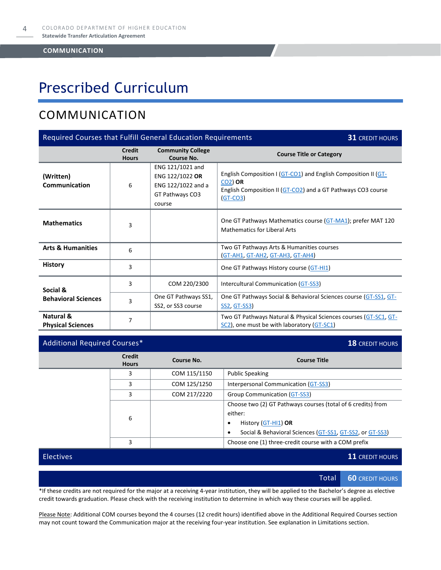# Prescribed Curriculum

## COMMUNICATION

| Required Courses that Fulfill General Education Requirements<br><b>31 CREDIT HOURS</b> |                               |                                                                                        |                                                                                                                                                            |  |
|----------------------------------------------------------------------------------------|-------------------------------|----------------------------------------------------------------------------------------|------------------------------------------------------------------------------------------------------------------------------------------------------------|--|
|                                                                                        | <b>Credit</b><br><b>Hours</b> | <b>Community College</b><br>Course No.                                                 | <b>Course Title or Category</b>                                                                                                                            |  |
| (Written)<br>Communication                                                             | 6                             | ENG 121/1021 and<br>ENG 122/1022 OR<br>ENG 122/1022 and a<br>GT Pathways CO3<br>course | English Composition I (GT-CO1) and English Composition II (GT-<br>$CO2$ ) OR<br>English Composition II (GT-CO2) and a GT Pathways CO3 course<br>$(GT-CO3)$ |  |
| <b>Mathematics</b>                                                                     | 3                             |                                                                                        | One GT Pathways Mathematics course (GT-MA1); prefer MAT 120<br><b>Mathematics for Liberal Arts</b>                                                         |  |
| <b>Arts &amp; Humanities</b>                                                           | 6                             |                                                                                        | Two GT Pathways Arts & Humanities courses<br><u>(GT-AH1, GT-AH2, GT-AH3, GT-AH4)</u>                                                                       |  |
| <b>History</b>                                                                         | 3                             |                                                                                        | One GT Pathways History course (GT-HI1)                                                                                                                    |  |
| Social &                                                                               | 3                             | COM 220/2300                                                                           | Intercultural Communication (GT-SS3)                                                                                                                       |  |
| <b>Behavioral Sciences</b>                                                             | 3                             | One GT Pathways SS1,<br>SS2, or SS3 course                                             | One GT Pathways Social & Behavioral Sciences course (GT-SS1, GT-<br><b>SS2, GT-SS3)</b>                                                                    |  |
| Natural &<br><b>Physical Sciences</b>                                                  | 7                             |                                                                                        | Two GT Pathways Natural & Physical Sciences courses (GT-SC1, GT-<br>SC2), one must be with laboratory (GT-SC1)                                             |  |

### Additional Required Courses<sup>\*</sup> **18** CREDIT HOURS

| <b>Credit</b><br><b>Hours</b>                             | Course No.   | <b>Course Title</b>                                                                                                                                                  |
|-----------------------------------------------------------|--------------|----------------------------------------------------------------------------------------------------------------------------------------------------------------------|
| 3                                                         | COM 115/1150 | <b>Public Speaking</b>                                                                                                                                               |
| 3                                                         | COM 125/1250 | Interpersonal Communication (GT-SS3)                                                                                                                                 |
| 3                                                         | COM 217/2220 | Group Communication (GT-SS3)                                                                                                                                         |
| 6                                                         |              | Choose two (2) GT Pathways courses (total of 6 credits) from<br>either:<br>History (GT-HI1) OR<br>٠<br>Social & Behavioral Sciences (GT-SS1, GT-SS2, or GT-SS3)<br>٠ |
| 3<br>Choose one (1) three-credit course with a COM prefix |              |                                                                                                                                                                      |

Electives **11** CREDIT HOURS

Total **60** CREDIT HOURS

\*If these credits are not required for the major at a receiving 4-year institution, they will be applied to the Bachelor's degree as elective credit towards graduation. Please check with the receiving institution to determine in which way these courses will be applied.

Please Note: Additional COM courses beyond the 4 courses (12 credit hours) identified above in the Additional Required Courses section may not count toward the Communication major at the receiving four-year institution. See explanation in Limitations section.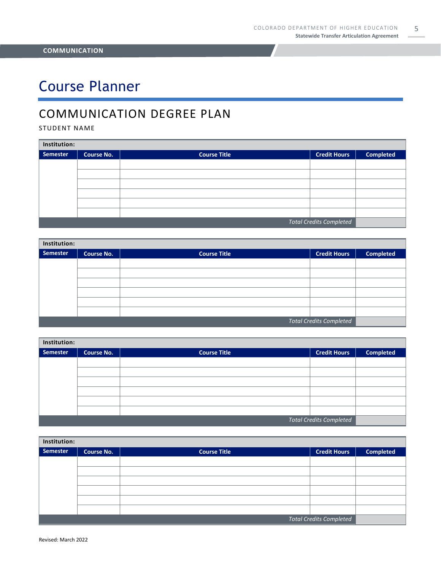# Course Planner

## COMMUNICATION DEGREE PLAN

### STUDENT NAME

| Institution:                   |                   |                     |                     |                  |  |
|--------------------------------|-------------------|---------------------|---------------------|------------------|--|
| <b>Semester</b>                | <b>Course No.</b> | <b>Course Title</b> | <b>Credit Hours</b> | <b>Completed</b> |  |
|                                |                   |                     |                     |                  |  |
|                                |                   |                     |                     |                  |  |
|                                |                   |                     |                     |                  |  |
|                                |                   |                     |                     |                  |  |
|                                |                   |                     |                     |                  |  |
|                                |                   |                     |                     |                  |  |
| <b>Total Credits Completed</b> |                   |                     |                     |                  |  |

| Institution:                   |                   |                     |                     |                  |  |
|--------------------------------|-------------------|---------------------|---------------------|------------------|--|
| Semester                       | <b>Course No.</b> | <b>Course Title</b> | <b>Credit Hours</b> | <b>Completed</b> |  |
|                                |                   |                     |                     |                  |  |
|                                |                   |                     |                     |                  |  |
|                                |                   |                     |                     |                  |  |
|                                |                   |                     |                     |                  |  |
|                                |                   |                     |                     |                  |  |
|                                |                   |                     |                     |                  |  |
| <b>Total Credits Completed</b> |                   |                     |                     |                  |  |

| Institution:                   |                   |                     |                     |                  |  |
|--------------------------------|-------------------|---------------------|---------------------|------------------|--|
| <b>Semester</b>                | <b>Course No.</b> | <b>Course Title</b> | <b>Credit Hours</b> | <b>Completed</b> |  |
|                                |                   |                     |                     |                  |  |
|                                |                   |                     |                     |                  |  |
|                                |                   |                     |                     |                  |  |
|                                |                   |                     |                     |                  |  |
|                                |                   |                     |                     |                  |  |
|                                |                   |                     |                     |                  |  |
| <b>Total Credits Completed</b> |                   |                     |                     |                  |  |

| Institution:                   |                   |                     |                     |                  |  |
|--------------------------------|-------------------|---------------------|---------------------|------------------|--|
| Semester                       | <b>Course No.</b> | <b>Course Title</b> | <b>Credit Hours</b> | <b>Completed</b> |  |
|                                |                   |                     |                     |                  |  |
|                                |                   |                     |                     |                  |  |
|                                |                   |                     |                     |                  |  |
|                                |                   |                     |                     |                  |  |
|                                |                   |                     |                     |                  |  |
|                                |                   |                     |                     |                  |  |
| <b>Total Credits Completed</b> |                   |                     |                     |                  |  |

Revised: March 2022

5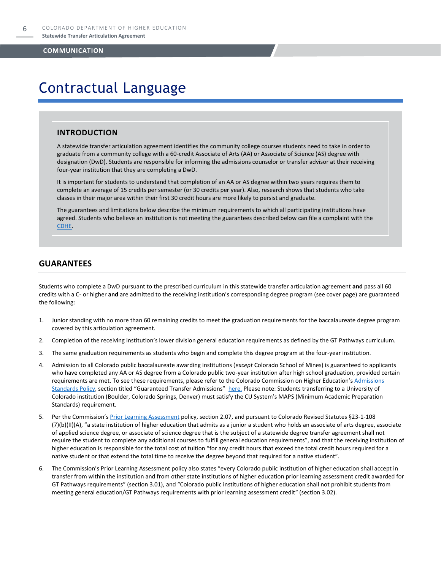# Contractual Language

### **INTRODUCTION**

A statewide transfer articulation agreement identifies the community college courses students need to take in order to graduate from a community college with a 60-credit Associate of Arts (AA) or Associate of Science (AS) degree with designation (DwD). Students are responsible for informing the admissions counselor or transfer advisor at their receiving four-year institution that they are completing a DwD.

It is important for students to understand that completion of an AA or AS degree within two years requires them to complete an average of 15 credits per semester (or 30 credits per year). Also, research shows that students who take classes in their major area within their first 30 credit hours are more likely to persist and graduate.

The guarantees and limitations below describe the minimum requirements to which all participating institutions have agreed. Students who believe an institution is not meeting the guarantees described below can file a complaint with the [CDHE.](https://highered.colorado.gov/filing-student-complaint)

### **GUARANTEES**

Students who complete a DwD pursuant to the prescribed curriculum in this statewide transfer articulation agreement **and** pass all 60 credits with a C- or higher **and** are admitted to the receiving institution's corresponding degree program (see cover page) are guaranteed the following:

- 1. Junior standing with no more than 60 remaining credits to meet the graduation requirements for the baccalaureate degree program covered by this articulation agreement.
- 2. Completion of the receiving institution's lower division general education requirements as defined by the GT Pathways curriculum.
- 3. The same graduation requirements as students who begin and complete this degree program at the four-year institution.
- 4. Admission to all Colorado public baccalaureate awarding institutions (*except* Colorado School of Mines) is guaranteed to applicants who have completed any AA or AS degree from a Colorado public two-year institution after high school graduation, provided certain requirements are met. To see these requirements, please refer to the Colorado Commission on Higher Education's Admissions [Standards Policy](https://highered.colorado.gov/sites/highered/files/2020-03/i-partf_0.pdf), section titled "Guaranteed Transfer Admissions" [here.](https://highered.colorado.gov/educators/policy-funding/cche-policies-procedures) Please note: Students transferring to a University of Colorado institution (Boulder, Colorado Springs, Denver) must satisfy the CU System's MAPS (Minimum Academic Preparation Standards) requirement.
- 5. Per the Commission's [Prior Learning Assessment](https://highered.colorado.gov/sites/highered/files/2020-03/i-partx.pdf) policy, section 2.07, and pursuant to Colorado Revised Statutes §23-1-108 (7)(b)(II)(A), "a state institution of higher education that admits as a junior a student who holds an associate of arts degree, associate of applied science degree, or associate of science degree that is the subject of a statewide degree transfer agreement shall not require the student to complete any additional courses to fulfill general education requirements", and that the receiving institution of higher education is responsible for the total cost of tuition "for any credit hours that exceed the total credit hours required for a native student or that extend the total time to receive the degree beyond that required for a native student".
- 6. The Commission's Prior Learning Assessment policy also states "every Colorado public institution of higher education shall accept in transfer from within the institution and from other state institutions of higher education prior learning assessment credit awarded for GT Pathways requirements" (section 3.01), and "Colorado public institutions of higher education shall not prohibit students from meeting general education/GT Pathways requirements with prior learning assessment credit" (section 3.02).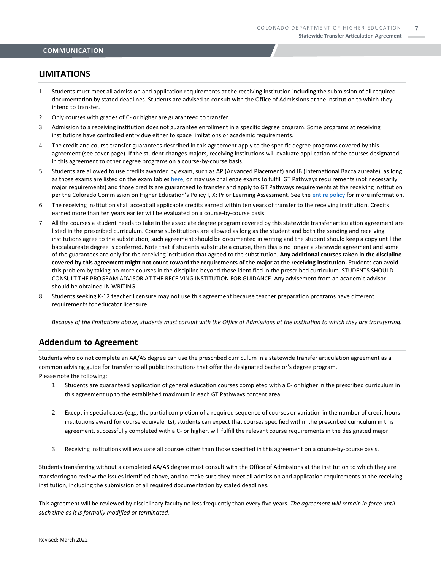### **LIMITATIONS**

- 1. Students must meet all admission and application requirements at the receiving institution including the submission of all required documentation by stated deadlines. Students are advised to consult with the Office of Admissions at the institution to which they intend to transfer.
- 2. Only courses with grades of C- or higher are guaranteed to transfer.
- 3. Admission to a receiving institution does not guarantee enrollment in a specific degree program. Some programs at receiving institutions have controlled entry due either to space limitations or academic requirements.
- 4. The credit and course transfer guarantees described in this agreement apply to the specific degree programs covered by this agreement (see cover page). If the student changes majors, receiving institutions will evaluate application of the courses designated in this agreement to other degree programs on a course-by-course basis.
- 5. Students are allowed to use credits awarded by exam, such as AP (Advanced Placement) and IB (International Baccalaureate), as long as those exams are listed on the exam table[s here,](https://highered.colorado.gov/get-credit-for-what-you-already-know) or may use challenge exams to fulfill GT Pathways requirements (not necessarily major requirements) and those credits are guaranteed to transfer and apply to GT Pathways requirements at the receiving institution per the Colorado Commission on Higher Education's Policy I, X: Prior Learning Assessment. See the [entire policy](https://highered.colorado.gov/sites/highered/files/2020-03/i-partx.pdf) for more information.
- 6. The receiving institution shall accept all applicable credits earned within ten years of transfer to the receiving institution. Credits earned more than ten years earlier will be evaluated on a course-by-course basis.
- 7. All the courses a student needs to take in the associate degree program covered by this statewide transfer articulation agreement are listed in the prescribed curriculum. Course substitutions are allowed as long as the student and both the sending and receiving institutions agree to the substitution; such agreement should be documented in writing and the student should keep a copy until the baccalaureate degree is conferred. Note that if students substitute a course, then this is no longer a statewide agreement and some of the guarantees are only for the receiving institution that agreed to the substitution. **Any additional courses taken in the discipline covered by this agreement might not count toward the requirements of the major at the receiving institution.** Students can avoid this problem by taking no more courses in the discipline beyond those identified in the prescribed curriculum. STUDENTS SHOULD CONSULT THE PROGRAM ADVISOR AT THE RECEIVING INSTITUTION FOR GUIDANCE. Any advisement from an academic advisor should be obtained IN WRITING.
- 8. Students seeking K-12 teacher licensure may not use this agreement because teacher preparation programs have different requirements for educator licensure.

*Because of the limitations above, students must consult with the Office of Admissions at the institution to which they are transferring.*

### **Addendum to Agreement**

Students who do not complete an AA/AS degree can use the prescribed curriculum in a statewide transfer articulation agreement as a common advising guide for transfer to all public institutions that offer the designated bachelor's degree program. Please note the following:

- 1. Students are guaranteed application of general education courses completed with a C- or higher in the prescribed curriculum in this agreement up to the established maximum in each GT Pathways content area.
- 2. Except in special cases (e.g., the partial completion of a required sequence of courses or variation in the number of credit hours institutions award for course equivalents), students can expect that courses specified within the prescribed curriculum in this agreement, successfully completed with a C- or higher, will fulfill the relevant course requirements in the designated major.
- 3. Receiving institutions will evaluate all courses other than those specified in this agreement on a course-by-course basis.

Students transferring without a completed AA/AS degree must consult with the Office of Admissions at the institution to which they are transferring to review the issues identified above, and to make sure they meet all admission and application requirements at the receiving institution, including the submission of all required documentation by stated deadlines.

This agreement will be reviewed by disciplinary faculty no less frequently than every five years. *The agreement will remain in force until such time as it is formally modified or terminated.*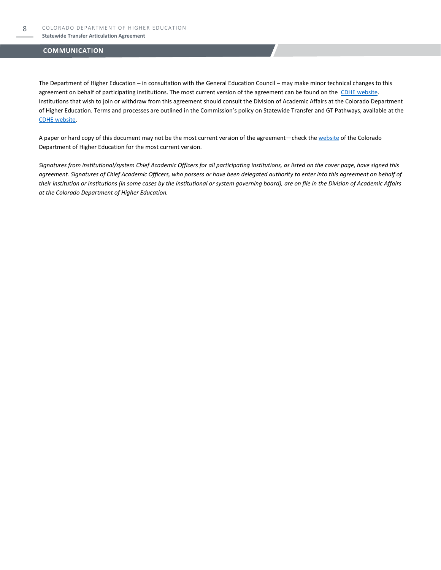The Department of Higher Education – in consultation with the General Education Council – may make minor technical changes to this agreement on behalf of participating institutions. The most current version of the agreement can be found on the [CDHE website.](https://highered.colorado.gov/transfer-degrees) Institutions that wish to join or withdraw from this agreement should consult the Division of Academic Affairs at the Colorado Department of Higher Education. Terms and processes are outlined in the Commission's policy on Statewide Transfer and GT Pathways, available at the [CDHE website.](https://highered.colorado.gov/educators/policy-funding/general-education-ge-council/gtpathways/transfer-agreements)

A paper or hard copy of this document may not be the most current version of the agreement—check th[e website](https://highered.colorado.gov/transfer-degrees) of the Colorado Department of Higher Education for the most current version.

*Signatures from institutional/system Chief Academic Officers for all participating institutions, as listed on the cover page, have signed this agreement. Signatures of Chief Academic Officers, who possess or have been delegated authority to enter into this agreement on behalf of their institution or institutions (in some cases by the institutional or system governing board), are on file in the Division of Academic Affairs at the Colorado Department of Higher Education.*